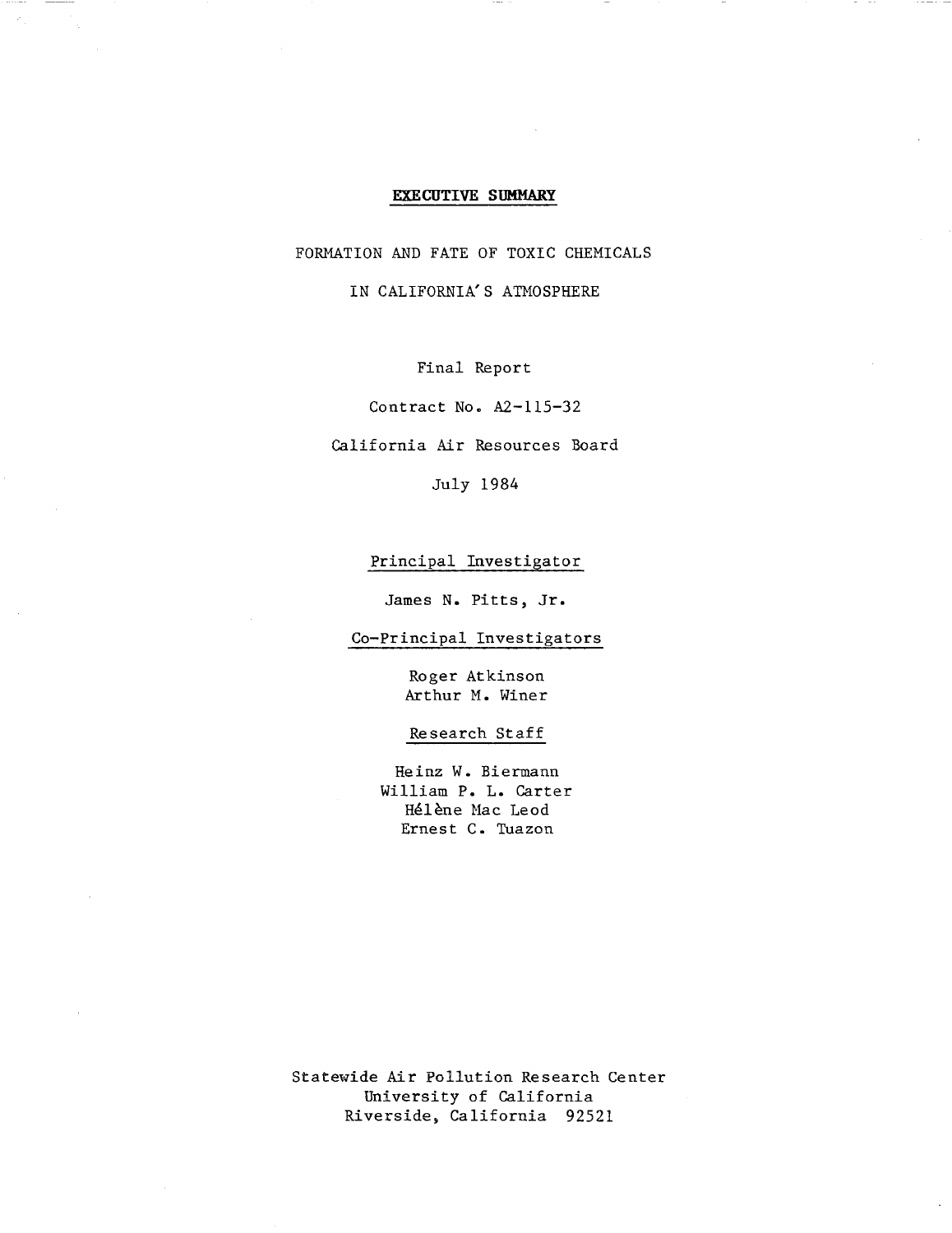### **EXECUTIVE SUMMARY**

 $\mathcal{P}_{\mathcal{A}}$ 

FORMATION AND FATE OF TOXIC CHEMICALS

IN CALIFORNIA'S ATMOSPHERE

Final Report

Contract No. A2-115-32

California Air Resources Board

July 1984

# Principal Investigator

James N. Pitts, Jr.

Co-Principal Investigators

Roger Atkinson Arthur M. Winer

Research Staff

Heinz W. Biermann William P. L. Carter Hélène Mac Leod Ernest C. Tuazon

Statewide Air Pollution Research Center University of California Riverside, California 92521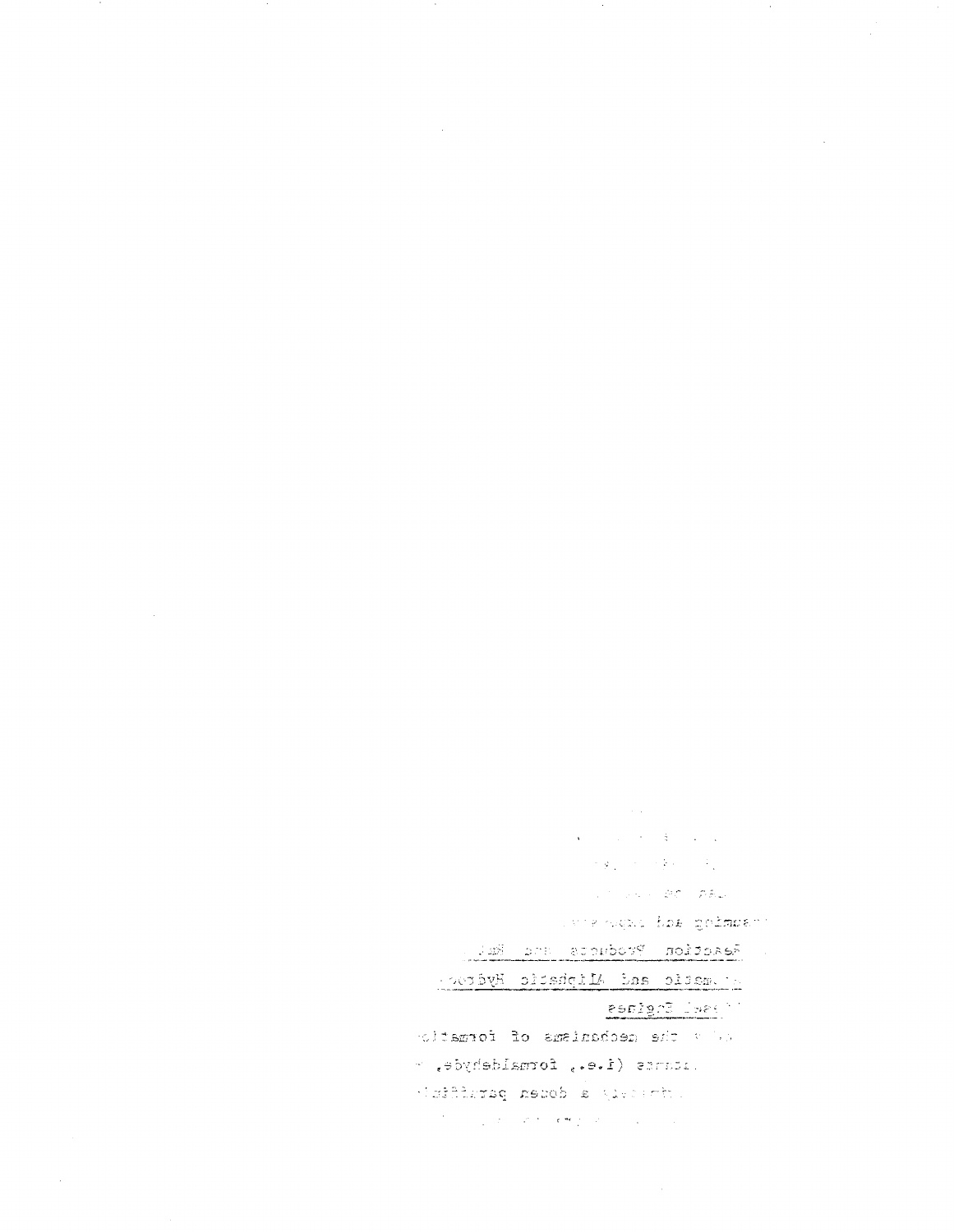$\label{eq:3.1} \mathcal{A}(\mathbf{x}) = \mathcal{A}(\mathbf{x}) + \mathcal{A}(\mathbf{x}) = \frac{1}{2} \mathcal{A}(\mathbf{x}) + \mathcal{A}(\mathbf{x}) = 0$ (1) 经财产的财产 **Contractor PC PAL** The second hos primushed Reaction Products and Rul. stumetic and Aliphatic Hydrocy Penigr3 Justin ad a the aechanisms of formation litants (i.e., formaldehyde, > cimessay a domen parafficio  $\label{eq:R1} \mathcal{L}(\mathcal{L}^{\text{c}}) = \mathcal{L}(\mathcal{L}^{\text{c}}) = \mathcal{L}(\mathcal{L}^{\text{c}}) = \mathcal{L}(\mathcal{L}^{\text{c}}) = \mathcal{L}(\mathcal{L}^{\text{c}}) = \mathcal{L}(\mathcal{L}^{\text{c}}) = \mathcal{L}(\mathcal{L}^{\text{c}})$ 

 $\label{eq:2.1} \mathcal{L}(\mathcal{L}^{\text{max}}_{\mathcal{L}}(\mathcal{L}^{\text{max}}_{\mathcal{L}}),\mathcal{L}^{\text{max}}_{\mathcal{L}^{\text{max}}_{\mathcal{L}}})$ 

 $\sim$   $\sim$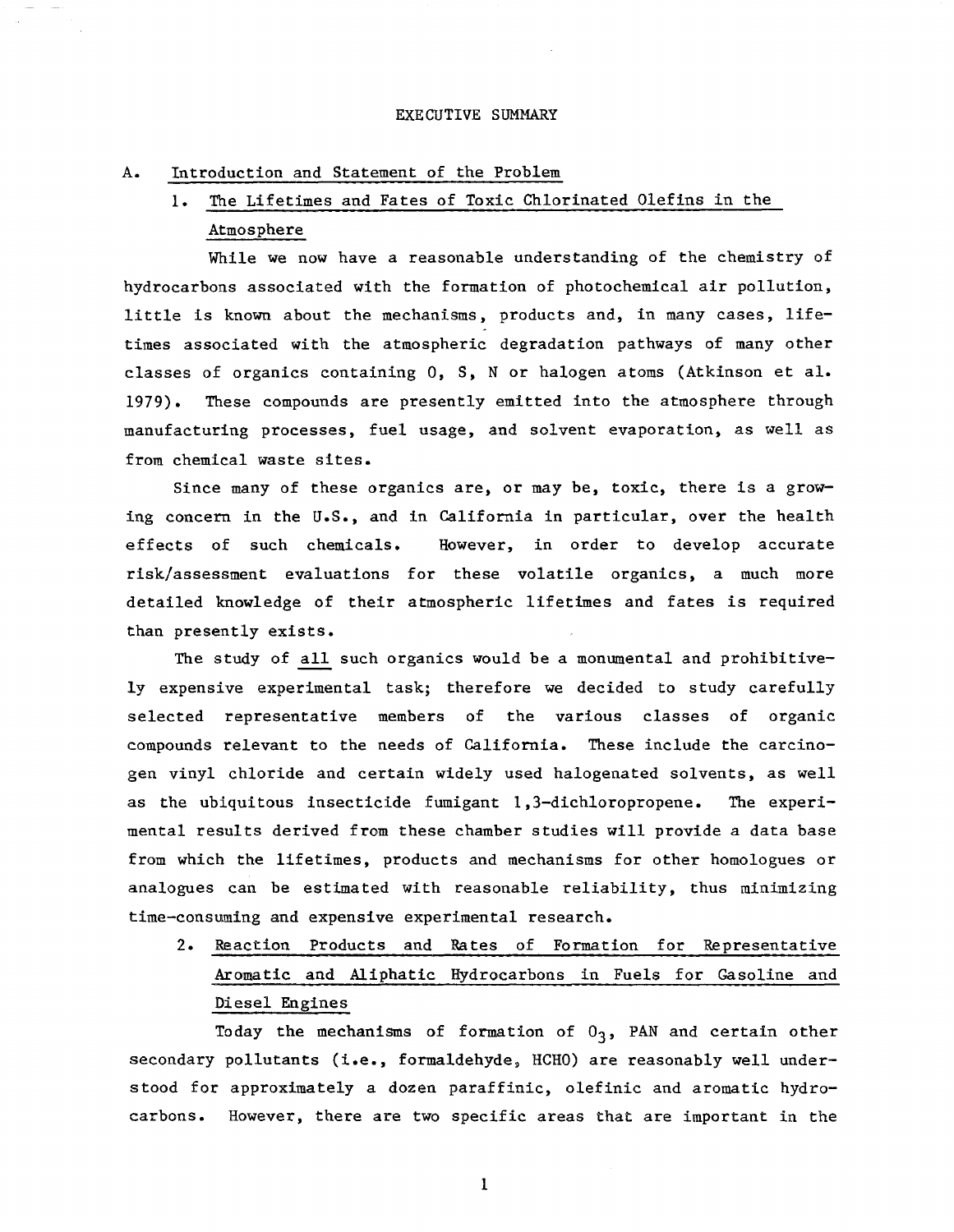### EXECUTIVE SUMMARY

### A. Introduction and Statement of the Problem

# 1. The Lifetimes and Fates of Toxic Chlorinated Olefins in the Atmosphere

While we now have a reasonable understanding of the chemistry of hydrocarbons associated with the formation of photochemical air pollution, little is known about the mechanisms, products and, in many cases, lifetimes associated with the atmospheric degradation pathways of many other classes of organics containing O, S, Nor halogen atoms (Atkinson et al. 1979). These compounds are presently emitted into the atmosphere through manufacturing processes, fuel usage, and solvent evaporation, as well as from chemical waste sites.

Since many of these organics are, or may be, toxic, there is a growing concern in the U.S., and in California in particular, over the health effects of such chemicals. However, in order to develop accurate risk/assessment evaluations for these volatile organics, a much more detailed knowledge of their atmospheric lifetimes and fates is required than presently exists.

The study of all such organics would be a monumental and prohibitively expensive experimental task; therefore we decided to study carefully selected representative members of the various classes of organic compounds relevant to the needs of California. These include the carcinogen vinyl chloride and certain widely used halogenated solvents, as well as the ubiquitous insecticide fumigant 1,3-dichloropropene. The experimental results derived from these chamber studies will provide a data base from which the lifetimes, products and mechanisms for other homologues or analogues can be estimated with reasonable reliability, thus minimizing time-consuming and expensive experimental research.

2. Reaction Products and Rates of Formation for Representative Aromatic and Aliphatic Hydrocarbons in Fuels for Gasoline and Diesel Engines

Today the mechanisms of formation of  $0<sub>3</sub>$ , PAN and certain other secondary pollutants (i.e., formaldehyde, HCHO) are reasonably well understood for approximately a dozen paraffinic, olefinic and aromatic hydrocarbons. However, there are two specific areas that are important in the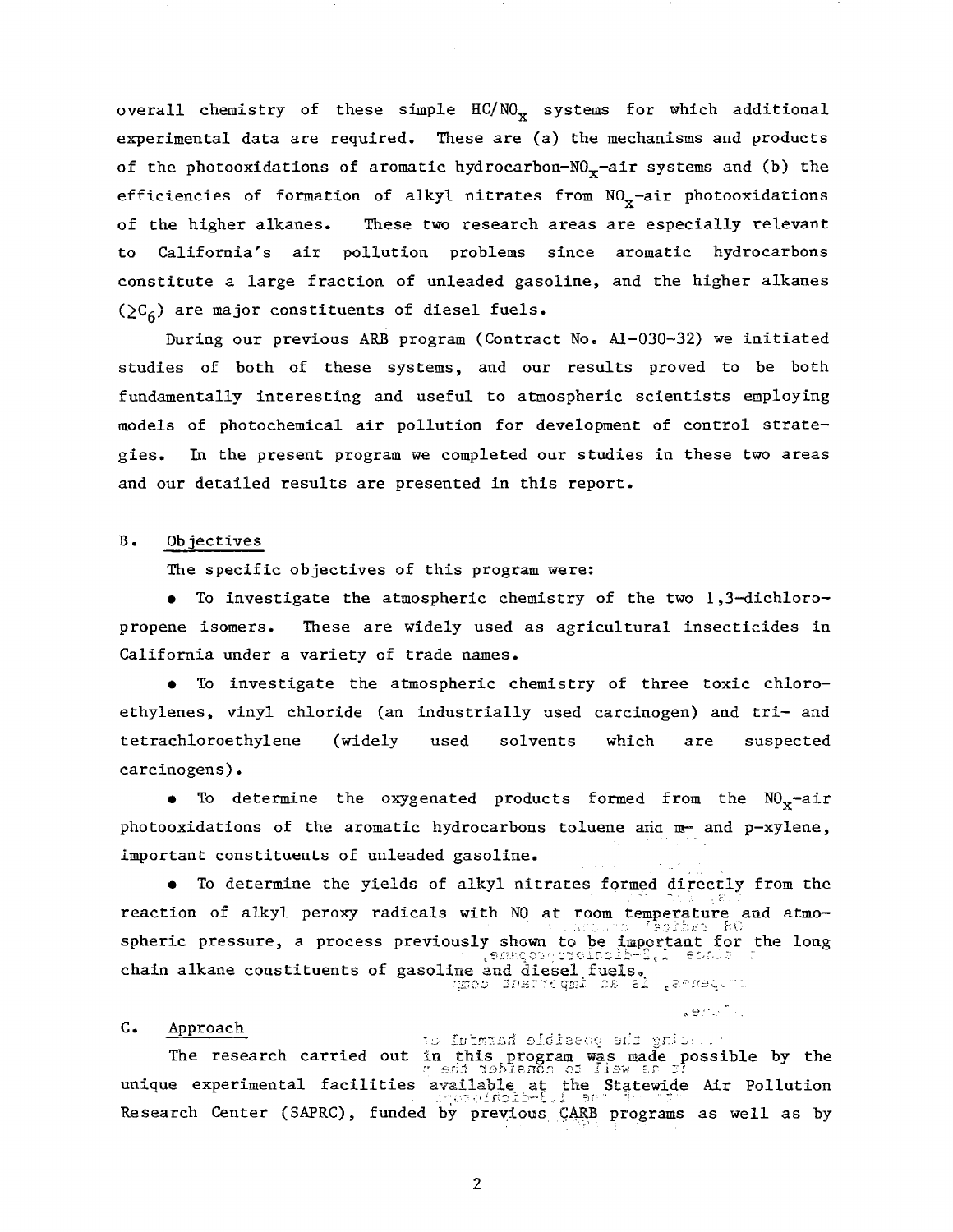overall chemistry of these simple  $HC/NO_x$  systems for which additional experimental data are required. These are (a) the mechanisms and products of the photooxidations of aromatic hydrocarbon- $NO<sub>x</sub>$ -air systems and (b) the efficiencies of formation of alkyl nitrates from  $NO<sub>x</sub>$ -air photooxidations of the higher alkanes. These two research areas are especially relevant to California's air pollution problems since aromatic hydrocarbons constitute a large fraction of unleaded gasoline, and the higher alkanes  $(\sum C_{\epsilon})$  are major constituents of diesel fuels.

During our previous ARB program (Contract No. Al-030-32) we initiated studies of both of these systems, and our results proved to be both fundamentally interesting and useful to atmospheric scientists employing models of photochemical air pollution for development of control strategies. In the present program we completed our studies in these two areas and our detailed results are presented in this report.

## B. Objectives

The specific objectives of this program were:

• To investigate the atmospheric chemistry of the two 1,3-dichloropropene isomers. These are widely used as agricultural insecticides in California under a variety of trade names.

• To investigate the atmospheric chemistry of three toxic chloroethylenes, vinyl chloride (an industrially used carcinogen) and tri- and tetrachloroethylene (widely used solvents which are suspected carcinogens).

To determine the oxygenated products formed from the  $NO<sub>x</sub>$ -air photooxidations of the aromatic hydrocarbons toluene and  $m-$  and  $p-xy$ lene, important constituents of unleaded gasoline.

To determine the yields of alkyl nitrates formed directly from the reaction of alkyl peroxy radicals with NO at room temperature and atmo-<br>FO spheric pressure, a process previously shown to be important for the long 't for for the long 't formula shown to be important for the long chain alkane constituents of gasoline and diesel fuels.

### c. Approach

~:.. Irlans aldiseng edigonic. The research carried out in this program was made possible by the  $\frac{1}{5}$  shipped of JJ9w EF 7. unique experimental facilities available at the Statewide Air Pollution Research Center (SAPRC), funded by previous CARB programs as well as by

venst st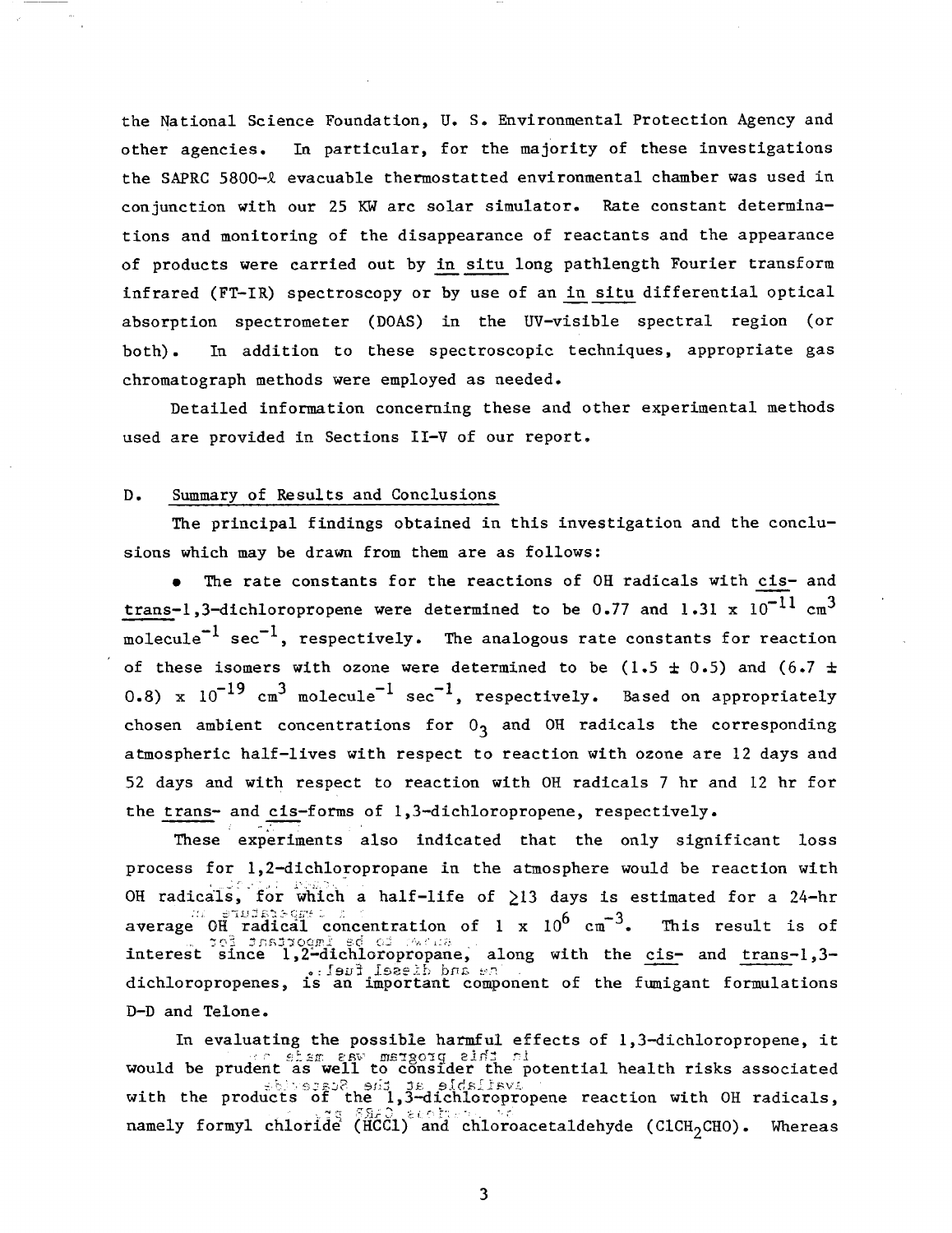the National Science Foundation, U. s. Environmental Protection Agency and other agencies. In particular, for the majority of these investigations the SAPRC 5800- $\ell$  evacuable thermostatted environmental chamber was used in conjunction with our 25 KW arc solar simulator. Rate constant determinations and monitoring of the disappearance of reactants and the appearance of products were carried out by in situ long pathlength Fourier transform infrared (FT-IR) spectroscopy or by use of an in situ differential optical absorption spectrometer (DOAS) in the UV-visible spectral region (or both). In addition to these spectroscopic techniques, appropriate gas chromatograph methods were employed as needed.

Detailed information concerning these and other experimental methods used are provided in Sections II-V of our report.

### D. Summary of Results and Conclusions

The principal findings obtained in this investigation and the conclusions which may be drawn from them are as follows:

The rate constants for the reactions of OH radicals with cis- and trans-1,3-dichloropropene were determined to be 0.77 and  $1.31 \times 10^{-11}$   $\text{cm}^3$ molecule<sup>-1</sup> sec<sup>-1</sup>, respectively. The analogous rate constants for reaction of these isomers with ozone were determined to be (1.5  $\pm$  0.5) and (6.7  $\pm$ 0.8) x  $10^{-19}$  cm<sup>3</sup> molecule<sup>-1</sup> sec<sup>-1</sup>, respectively. Based on appropriately chosen ambient concentrations for  $0<sub>3</sub>$  and OH radicals the corresponding atmospheric half-lives with respect to reaction with ozone are 12 days and 52 days and with respect to reaction with OH radicals 7 hr and 12 hr for the trans- and cis-forms of 1,3-dichloropropene, respectively.

These experiments also indicated that the only significant loss process for 1,2-dichloropropane in the atmosphere would be reaction with OH radicals, for which a half-life of  $\geq$ 13 days is estimated for a 24-hr average  $\overline{0}$ <sup>111</sup> radical concentration of 1 x 10<sup>6</sup> cm<sup>-3</sup>. This result is of :,;,:·,3. :tns;:1;oarr1.2 :;:.d (1J .-.l,:·i.:;:.-, interest since 1,2:..dichloropropane~ along with the cis- and trans-1,3- ., J9u} lseelb bns ~~ dichloropropenes, is an important component of the fumigant formulations D-D and Telone.

In evaluating the possible harmful effects of 1,3-dichloropropene, it would be prudent as well to consider the potential health risks associated with the products of the 1,3-dichloropropene reaction with OH radicals, namely formyl chloride  $\det^{\text{G}}$  and chloroacetaldehyde (ClCH<sub>2</sub>CHO). Whereas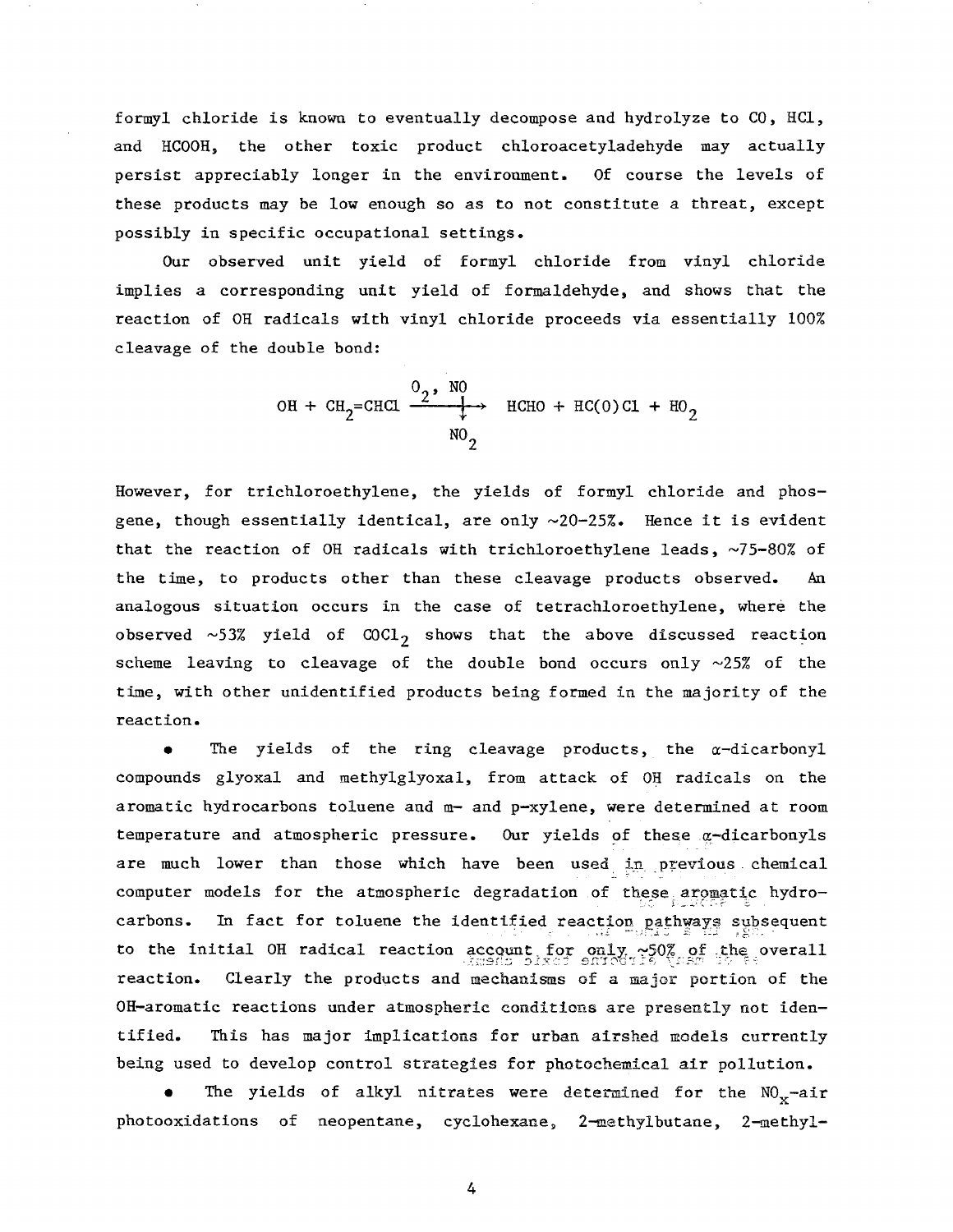formyl chloride is known to eventually decompose and hydrolyze to CO, HCl, and HCOOH, the other toxic product chloroacetyladehyde may actually persist appreciably longer in the environment. Of course the levels of these products may be low enough so as to not constitute a threat, except possibly in specific occupational settings.

Our observed unit yield of formyl chloride from vinyl chloride implies a corresponding unit yield of formaldehyde, and shows that the reaction of OH radicals with vinyl chloride proceeds via essentially 100% cleavage of the double bond:

$$
OH + CH_2=CHCl \xrightarrow{O_2, NO} HCHO + HC(0)Cl + HO_2
$$
  

$$
NO_2
$$

However, for trichloroethylene, the yields of formyl chloride and phosgene, though essentially identical, are only ~20-25%. Hence it is evident that the reaction of OH radicals with trichloroethylene leads, ~75-80% of the time, to products other than these cleavage products observed. An analogous situation occurs in the case of tetrachloroethylene, where the observed  $\sim$ 53% yield of COCl<sub>2</sub> shows that the above discussed reaction scheme leaving to cleavage of the double bond occurs only  $\sim$ 25% of the time, with other unidentified products being formed in the majority of the reaction.

The yields of the ring cleavage products, the  $\alpha$ -dicarbonyl compounds glyoxal and methylglyoxal, from attack of OH radicals on the aromatic hydrocarbons toluene and m- and p-xylene, were determined at room temperature and atmospheric pressure. Our yields of these a-dicarbonyls are much lower than those which have been used in previous chemical computer models for the atmospheric degradation of these aromatic hydrocarbons. In fact for toluene the identified reaction pathways subsequent to the initial OH radical reaction account for only 50% of the overall reaction. Clearly the products and mechanisms of a major portion of the OH-aromatic reactions under atmospheric conditions are presently not identified. This has major implications for urban airshed models currently being used to develop control strategies for photochemical air pollution.

The yields of alkyl nitrates were determined for the  $NO<sub>x</sub>$ -air photooxidations of neopentane, cyclohexane, 2-methylbutane, 2-methyl-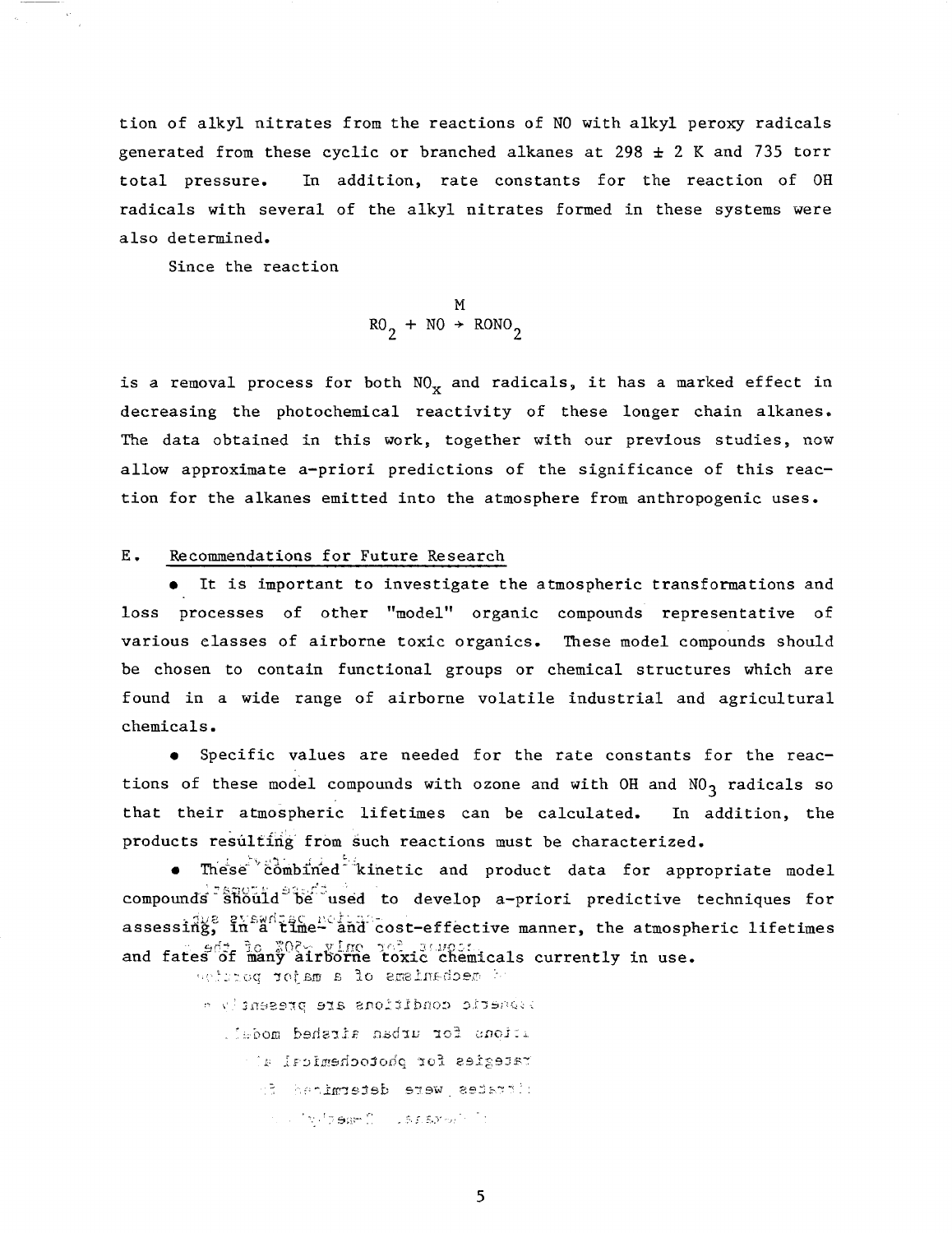tion of alkyl nitrates from the reactions of NO with alkyl peroxy radicals generated from these cyclic or branched alkanes at 298  $\pm$  2 K and 735 torr In addition, rate constants for the reaction of OH total pressure. radicals with several of the alkyl nitrates formed in these systems were also determined.

Since the reaction

$$
RO2 + NO + RONO2
$$

is a removal process for both  $NO_x$  and radicals, it has a marked effect in decreasing the photochemical reactivity of these longer chain alkanes. The data obtained in this work, together with our previous studies, now allow approximate a-priori predictions of the significance of this reaction for the alkanes emitted into the atmosphere from anthropogenic uses.

#### Ε. Recommendations for Future Research

• It is important to investigate the atmospheric transformations and loss processes of other "model" organic compounds representative of various classes of airborne toxic organics. These model compounds should be chosen to contain functional groups or chemical structures which are found in a wide range of airborne volatile industrial and agricultural chemicals.

• Specific values are needed for the rate constants for the reactions of these model compounds with ozone and with OH and NO<sub>3</sub> radicals so that their atmospheric lifetimes can be calculated. In addition, the products resulting from such reactions must be characterized.

. These combined kinetic and product data for appropriate model compounds should be used to develop a-priori predictive techniques for assessing, in a time- and cost-effective manner, the atmospheric lifetimes and fates of many airborne toxic chemicals currently in use.

dechanisms of a major portion

somethe conditions are presently a rtions for urban airshed model. vategies for photochemical all itrades were determinad fo าราง ใช้เป็นต่อมี เรียนต้องไปไป